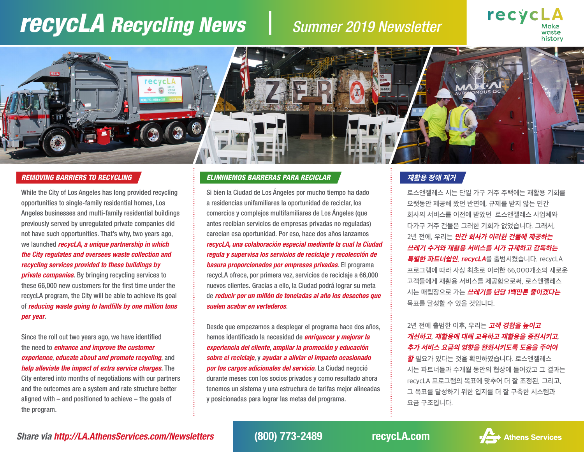# *recycLA Recycling News Summer 2019 Newsletter*





### *REMOVING BARRIERS TO RECYCLING*

While the City of Los Angeles has long provided recycling opportunities to single-family residential homes, Los Angeles businesses and multi-family residential buildings previously served by unregulated private companies did not have such opportunities. That's why, two years ago, we launched *recycLA, a unique partnership in which the City regulates and oversees waste collection and recycling services provided to these buildings by private companies*. By bringing recycling services to these 66,000 new customers for the first time under the recycLA program, the City will be able to achieve its goal of *reducing waste going to landfills by one million tons per year*.

Since the roll out two years ago, we have identified the need to *enhance and improve the customer experience*, *educate about and promote recycling*, and *help alleviate the impact of extra service charges*. The City entered into months of negotiations with our partners and the outcomes are a system and rate structure better aligned with – and positioned to achieve – the goals of the program.

## *ELIMINEMOS BARRERAS PARA RECICLAR* **재활용 장애 제거**

Si bien la Ciudad de Los Ángeles por mucho tiempo ha dado a residencias unifamiliares la oportunidad de reciclar, los comercios y complejos multifamiliares de Los Ángeles (que antes recibían servicios de empresas privadas no reguladas) carecían esa oportunidad. Por eso, hace dos años lanzamos *recycLA, una colaboración especial mediante la cual la Ciudad regula y supervisa los servicios de reciclaje y recolección de basura proporcionados por empresas privadas*. El programa recycLA ofrece, por primera vez, servicios de reciclaje a 66,000 nuevos clientes. Gracias a ello, la Ciudad podrá lograr su meta de *reducir por un millón de toneladas al año los desechos que suelen acabar en vertederos*.

Desde que empezamos a desplegar el programa hace dos años, hemos identificado la necesidad de *enriquecer y mejorar la experiencia del cliente*, *ampliar la promoción y educación sobre el reciclaje*, y *ayudar a aliviar el impacto ocasionado por los cargos adicionales del servicio*. La Ciudad negoció durante meses con los socios privados y como resultado ahora tenemos un sistema y una estructura de tarifas mejor alineadas y posicionadas para lograr las metas del programa.

로스앤젤레스 시는 단일 가구 거주 주택에는 재활용 기회를 오랫동안 제공해 왔던 반면에, 규제를 받지 않는 민간 회사의 서비스를 이전에 받았던 로스앤젤레스 사업체와 다가구 거주 건물은 그러한 기회가 없었습니다. 그래서, 2년 전에, 우리는 **민간 회사가 이러한 건물에 제공하는 쓰레기 수거와 재활용 서비스를 시가 규제하고 감독하는 특별한 파트너쉽인, recycLA**를 출범시켰습니다. recycLA 프로그램에 따라 사상 최초로 이러한 66,000개소의 새로운 고객들에게 재활용 서비스를 제공함으로써, 로스앤젤레스 시는 매립장으로 가는 **쓰레기를 년당 1백만톤 줄이겠다는** 목표를 달성할 수 있을 것입니다.

## 2년 전에 출범한 이후, 우리는 **고객 경험을 높이고 개선하고**, **재활용에 대해 교육하고 재활용을 증진시키고**, **추가 서비스 요금의 영향을 완화시키도록 도움을 주어야**

**할** 필요가 있다는 것을 확인하였습니다. 로스앤젤레스 시는 파트너들과 수개월 동안의 협상에 들어갔고 그 결과는 recycLA 프로그램의 목표에 맞추어 더 잘 조정된, 그리고, 그 목표를 달성하기 위한 입지를 더 잘 구축한 시스템과 요금 구조입니다.